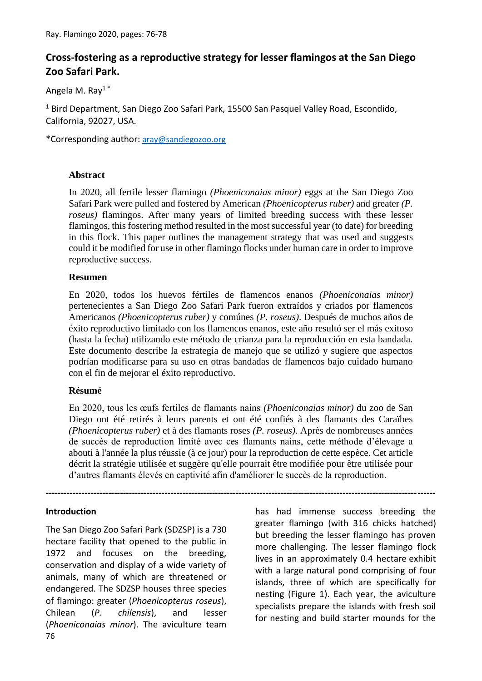# **Cross-fostering as a reproductive strategy for lesser flamingos at the San Diego Zoo Safari Park.**

Angela M. Ray1 \*

<sup>1</sup> Bird Department, San Diego Zoo Safari Park, 15500 San Pasquel Valley Road, Escondido, California, 92027, USA.

\*Corresponding author: [aray@sandiegozoo.org](mailto:aray@sandiegozoo.org)

## **Abstract**

In 2020, all fertile lesser flamingo *(Phoeniconaias minor)* eggs at the San Diego Zoo Safari Park were pulled and fostered by American *(Phoenicopterus ruber)* and greater *(P. roseus)* flamingos. After many years of limited breeding success with these lesser flamingos, this fostering method resulted in the most successful year (to date) for breeding in this flock. This paper outlines the management strategy that was used and suggests could it be modified for use in other flamingo flocks under human care in order to improve reproductive success.

## **Resumen**

En 2020, todos los huevos fértiles de flamencos enanos *(Phoeniconaias minor)* pertenecientes a San Diego Zoo Safari Park fueron extraídos y criados por flamencos Americanos *(Phoenicopterus ruber)* y comúnes *(P. roseus)*. Después de muchos años de éxito reproductivo limitado con los flamencos enanos, este año resultó ser el más exitoso (hasta la fecha) utilizando este método de crianza para la reproducción en esta bandada. Este documento describe la estrategia de manejo que se utilizó y sugiere que aspectos podrían modificarse para su uso en otras bandadas de flamencos bajo cuidado humano con el fin de mejorar el éxito reproductivo.

#### **Résumé**

En 2020, tous les œufs fertiles de flamants nains *(Phoeniconaias minor)* du zoo de San Diego ont été retirés à leurs parents et ont été confiés à des flamants des Caraïbes *(Phoenicopterus ruber)* et à des flamants roses *(P. roseus)*. Après de nombreuses années de succès de reproduction limité avec ces flamants nains, cette méthode d'élevage a abouti à l'année la plus réussie (à ce jour) pour la reproduction de cette espèce. Cet article décrit la stratégie utilisée et suggère qu'elle pourrait être modifiée pour être utilisée pour d'autres flamants élevés en captivité afin d'améliorer le succès de la reproduction.

**-----------------------------------------------------------------------------------------------------------------------------------**

#### **Introduction**

76 The San Diego Zoo Safari Park (SDZSP) is a 730 hectare facility that opened to the public in 1972 and focuses on the breeding, conservation and display of a wide variety of animals, many of which are threatened or endangered. The SDZSP houses three species of flamingo: greater (*Phoenicopterus roseus*), Chilean (*P. chilensis*), and lesser (*Phoeniconaias minor*). The aviculture team

has had immense success breeding the greater flamingo (with 316 chicks hatched) but breeding the lesser flamingo has proven more challenging. The lesser flamingo flock lives in an approximately 0.4 hectare exhibit with a large natural pond comprising of four islands, three of which are specifically for nesting (Figure 1). Each year, the aviculture specialists prepare the islands with fresh soil for nesting and build starter mounds for the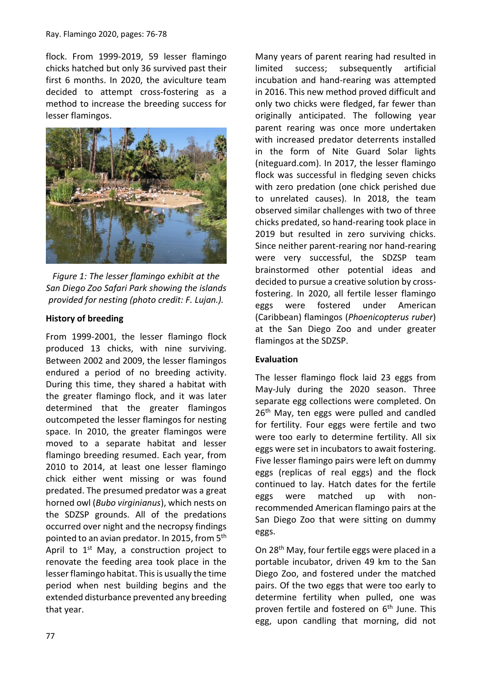flock. From 1999-2019, 59 lesser flamingo chicks hatched but only 36 survived past their first 6 months. In 2020, the aviculture team decided to attempt cross-fostering as a method to increase the breeding success for lesser flamingos.



*Figure 1: The lesser flamingo exhibit at the San Diego Zoo Safari Park showing the islands provided for nesting (photo credit: F. Lujan.).*

# **History of breeding**

From 1999-2001, the lesser flamingo flock produced 13 chicks, with nine surviving. Between 2002 and 2009, the lesser flamingos endured a period of no breeding activity. During this time, they shared a habitat with the greater flamingo flock, and it was later determined that the greater flamingos outcompeted the lesser flamingos for nesting space. In 2010, the greater flamingos were moved to a separate habitat and lesser flamingo breeding resumed. Each year, from 2010 to 2014, at least one lesser flamingo chick either went missing or was found predated. The presumed predator was a great horned owl (*Bubo virginianus*), which nests on the SDZSP grounds. All of the predations occurred over night and the necropsy findings pointed to an avian predator. In 2015, from 5<sup>th</sup> April to 1<sup>st</sup> May, a construction project to renovate the feeding area took place in the lesser flamingo habitat. This is usually the time period when nest building begins and the extended disturbance prevented any breeding that year.

Many years of parent rearing had resulted in limited success; subsequently artificial incubation and hand-rearing was attempted in 2016. This new method proved difficult and only two chicks were fledged, far fewer than originally anticipated. The following year parent rearing was once more undertaken with increased predator deterrents installed in the form of Nite Guard Solar lights (niteguard.com). In 2017, the lesser flamingo flock was successful in fledging seven chicks with zero predation (one chick perished due to unrelated causes). In 2018, the team observed similar challenges with two of three chicks predated, so hand-rearing took place in 2019 but resulted in zero surviving chicks. Since neither parent-rearing nor hand-rearing were very successful, the SDZSP team brainstormed other potential ideas and decided to pursue a creative solution by crossfostering. In 2020, all fertile lesser flamingo eggs were fostered under American (Caribbean) flamingos (*Phoenicopterus ruber*) at the San Diego Zoo and under greater flamingos at the SDZSP.

# **Evaluation**

The lesser flamingo flock laid 23 eggs from May-July during the 2020 season. Three separate egg collections were completed. On 26<sup>th</sup> May, ten eggs were pulled and candled for fertility. Four eggs were fertile and two were too early to determine fertility. All six eggs were set in incubators to await fostering. Five lesser flamingo pairs were left on dummy eggs (replicas of real eggs) and the flock continued to lay. Hatch dates for the fertile eggs were matched up with nonrecommended American flamingo pairs at the San Diego Zoo that were sitting on dummy eggs.

On 28<sup>th</sup> May, four fertile eggs were placed in a portable incubator, driven 49 km to the San Diego Zoo, and fostered under the matched pairs. Of the two eggs that were too early to determine fertility when pulled, one was proven fertile and fostered on 6<sup>th</sup> June. This egg, upon candling that morning, did not